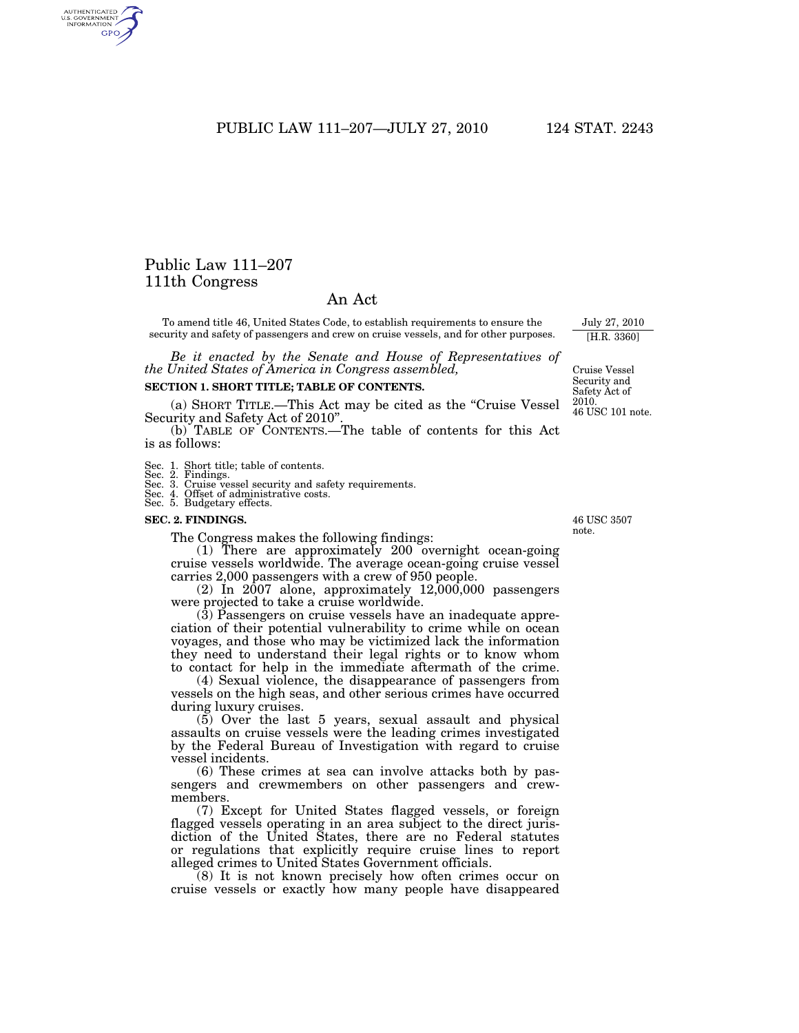PUBLIC LAW 111–207—JULY 27, 2010 124 STAT. 2243

# Public Law 111–207 111th Congress

AUTHENTICATED<br>U.S. GOVERNMENT<br>INFORMATION GPO

## An Act

To amend title 46, United States Code, to establish requirements to ensure the security and safety of passengers and crew on cruise vessels, and for other purposes.

*Be it enacted by the Senate and House of Representatives of the United States of America in Congress assembled,* 

## **SECTION 1. SHORT TITLE; TABLE OF CONTENTS.**

(a) SHORT TITLE.—This Act may be cited as the ''Cruise Vessel Security and Safety Act of 2010''.

(b) TABLE OF CONTENTS.—The table of contents for this Act is as follows:

Sec. 1. Short title; table of contents. Sec. 2. Findings.

- 
- Sec. 3. Cruise vessel security and safety requirements. Sec. 4. Offset of administrative costs. Sec. 5. Budgetary effects.
- 

#### **SEC. 2. FINDINGS.**

The Congress makes the following findings:

(1) There are approximately 200 overnight ocean-going cruise vessels worldwide. The average ocean-going cruise vessel carries 2,000 passengers with a crew of 950 people.

 $(2)$  In  $2007$  alone, approximately  $12,000,000$  passengers were projected to take a cruise worldwide.

(3) Passengers on cruise vessels have an inadequate appreciation of their potential vulnerability to crime while on ocean voyages, and those who may be victimized lack the information they need to understand their legal rights or to know whom to contact for help in the immediate aftermath of the crime.

(4) Sexual violence, the disappearance of passengers from vessels on the high seas, and other serious crimes have occurred during luxury cruises.

(5) Over the last 5 years, sexual assault and physical assaults on cruise vessels were the leading crimes investigated by the Federal Bureau of Investigation with regard to cruise vessel incidents.

(6) These crimes at sea can involve attacks both by passengers and crewmembers on other passengers and crewmembers.

(7) Except for United States flagged vessels, or foreign flagged vessels operating in an area subject to the direct jurisdiction of the United States, there are no Federal statutes or regulations that explicitly require cruise lines to report alleged crimes to United States Government officials.

(8) It is not known precisely how often crimes occur on cruise vessels or exactly how many people have disappeared

46 USC 3507 note.

[H.R. 3360]

46 USC 101 note.

Cruise Vessel Security and Safety Act of 2010.

July 27, 2010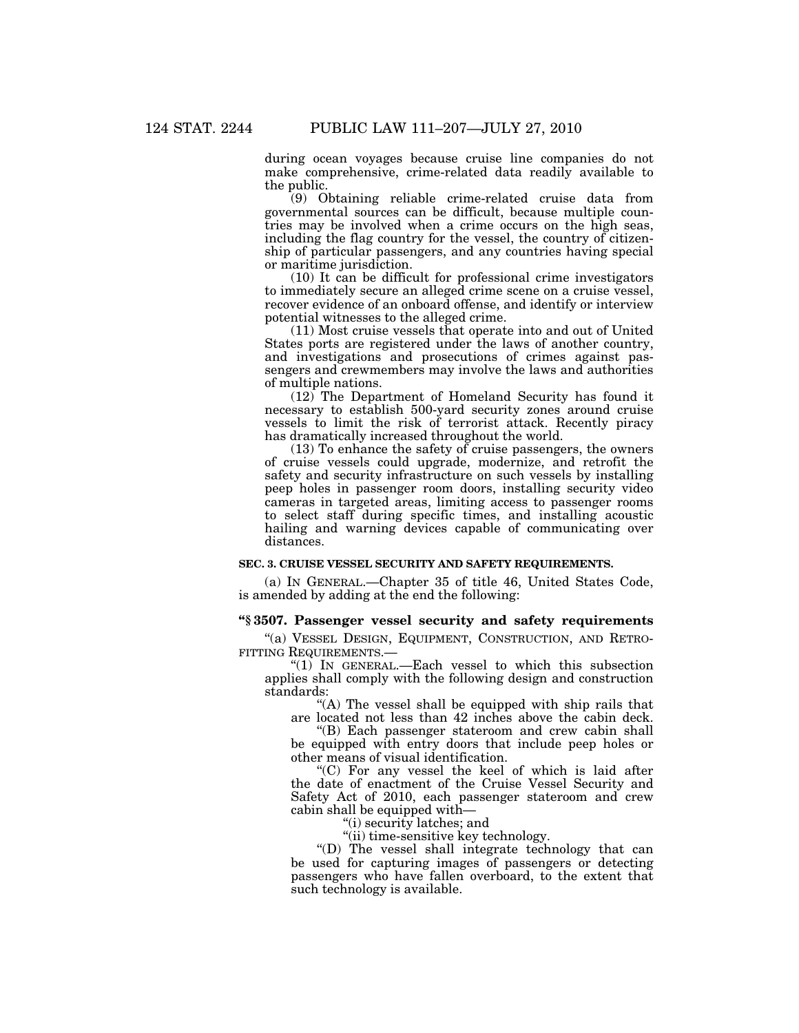during ocean voyages because cruise line companies do not make comprehensive, crime-related data readily available to the public.

(9) Obtaining reliable crime-related cruise data from governmental sources can be difficult, because multiple countries may be involved when a crime occurs on the high seas, including the flag country for the vessel, the country of citizenship of particular passengers, and any countries having special or maritime jurisdiction.

(10) It can be difficult for professional crime investigators to immediately secure an alleged crime scene on a cruise vessel, recover evidence of an onboard offense, and identify or interview potential witnesses to the alleged crime.

(11) Most cruise vessels that operate into and out of United States ports are registered under the laws of another country, and investigations and prosecutions of crimes against passengers and crewmembers may involve the laws and authorities of multiple nations.

(12) The Department of Homeland Security has found it necessary to establish 500-yard security zones around cruise vessels to limit the risk of terrorist attack. Recently piracy has dramatically increased throughout the world.

(13) To enhance the safety of cruise passengers, the owners of cruise vessels could upgrade, modernize, and retrofit the safety and security infrastructure on such vessels by installing peep holes in passenger room doors, installing security video cameras in targeted areas, limiting access to passenger rooms to select staff during specific times, and installing acoustic hailing and warning devices capable of communicating over distances.

### **SEC. 3. CRUISE VESSEL SECURITY AND SAFETY REQUIREMENTS.**

(a) IN GENERAL.—Chapter 35 of title 46, United States Code, is amended by adding at the end the following:

### **''§ 3507. Passenger vessel security and safety requirements**

"(a) VESSEL DESIGN, EQUIPMENT, CONSTRUCTION, AND RETRO-FITTING REQUIREMENTS.—

''(1) IN GENERAL.—Each vessel to which this subsection applies shall comply with the following design and construction standards:

"(A) The vessel shall be equipped with ship rails that are located not less than 42 inches above the cabin deck.

''(B) Each passenger stateroom and crew cabin shall be equipped with entry doors that include peep holes or other means of visual identification.

''(C) For any vessel the keel of which is laid after the date of enactment of the Cruise Vessel Security and Safety Act of 2010, each passenger stateroom and crew cabin shall be equipped with—

''(i) security latches; and

"(ii) time-sensitive key technology.

''(D) The vessel shall integrate technology that can be used for capturing images of passengers or detecting passengers who have fallen overboard, to the extent that such technology is available.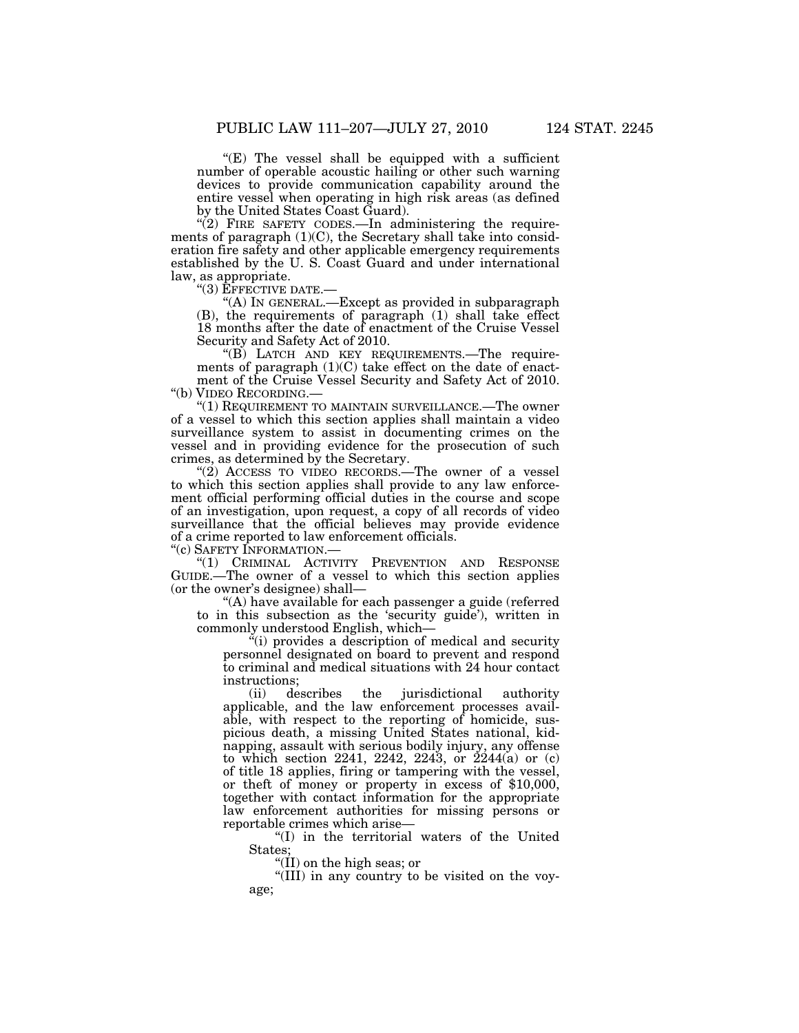" $(E)$  The vessel shall be equipped with a sufficient number of operable acoustic hailing or other such warning devices to provide communication capability around the entire vessel when operating in high risk areas (as defined by the United States Coast Guard).

"(2) FIRE SAFETY CODES.—In administering the requirements of paragraph  $(1)(C)$ , the Secretary shall take into consideration fire safety and other applicable emergency requirements established by the U. S. Coast Guard and under international law, as appropriate.

''(3) EFFECTIVE DATE.— ''(A) IN GENERAL.—Except as provided in subparagraph (B), the requirements of paragraph (1) shall take effect 18 months after the date of enactment of the Cruise Vessel Security and Safety Act of 2010.

''(B) LATCH AND KEY REQUIREMENTS.—The requirements of paragraph  $(1)(C)$  take effect on the date of enactment of the Cruise Vessel Security and Safety Act of 2010. ''(b) VIDEO RECORDING.—

"(1) REQUIREMENT TO MAINTAIN SURVEILLANCE.—The owner of a vessel to which this section applies shall maintain a video surveillance system to assist in documenting crimes on the vessel and in providing evidence for the prosecution of such crimes, as determined by the Secretary.

" $(2)$  ACCESS TO VIDEO RECORDS.—The owner of a vessel to which this section applies shall provide to any law enforcement official performing official duties in the course and scope of an investigation, upon request, a copy of all records of video surveillance that the official believes may provide evidence of a crime reported to law enforcement officials.

''(c) SAFETY INFORMATION.—

"(1) CRIMINAL ACTIVITY PREVENTION AND RESPONSE GUIDE.—The owner of a vessel to which this section applies (or the owner's designee) shall—

''(A) have available for each passenger a guide (referred to in this subsection as the 'security guide'), written in commonly understood English, which—

''(i) provides a description of medical and security personnel designated on board to prevent and respond to criminal and medical situations with 24 hour contact instructions;

(ii) describes the jurisdictional authority applicable, and the law enforcement processes available, with respect to the reporting of homicide, suspicious death, a missing United States national, kidnapping, assault with serious bodily injury, any offense to which section 2241, 2242, 2243, or 2244(a) or (c) of title 18 applies, firing or tampering with the vessel, or theft of money or property in excess of \$10,000, together with contact information for the appropriate law enforcement authorities for missing persons or reportable crimes which arise—

''(I) in the territorial waters of the United States;

''(II) on the high seas; or

''(III) in any country to be visited on the voyage;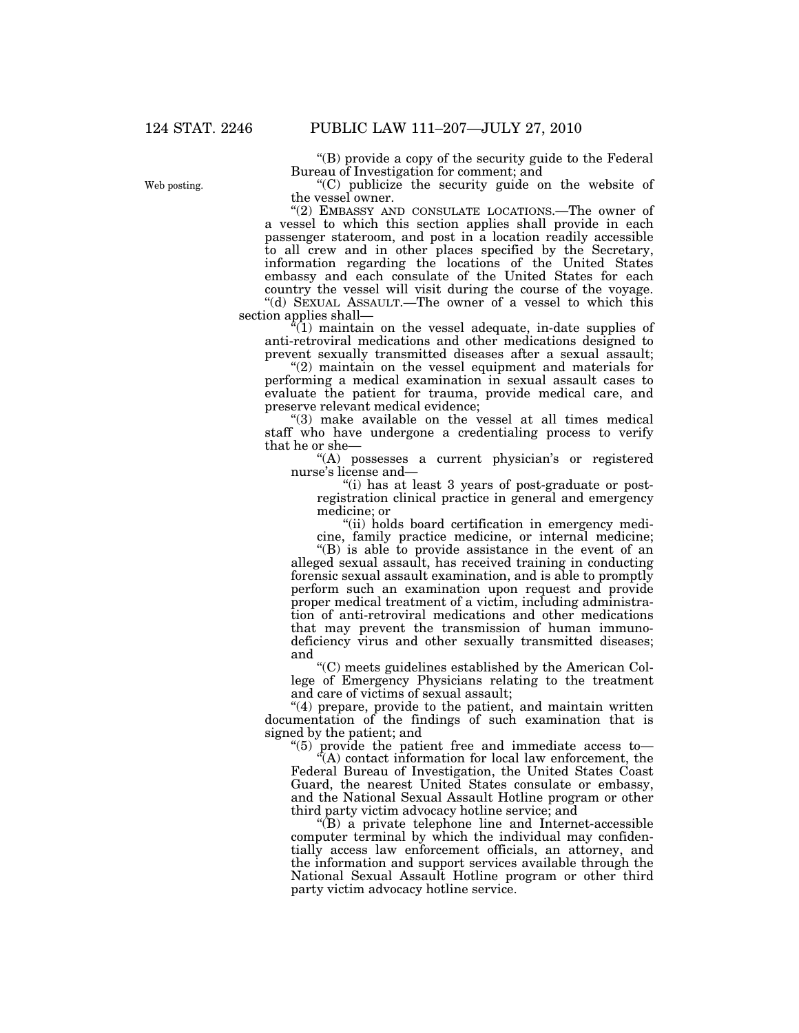''(B) provide a copy of the security guide to the Federal Bureau of Investigation for comment; and

''(C) publicize the security guide on the website of the vessel owner.

"(2) EMBASSY AND CONSULATE LOCATIONS.—The owner of a vessel to which this section applies shall provide in each passenger stateroom, and post in a location readily accessible to all crew and in other places specified by the Secretary, information regarding the locations of the United States embassy and each consulate of the United States for each country the vessel will visit during the course of the voyage. ''(d) SEXUAL ASSAULT.—The owner of a vessel to which this section applies shall—

 $\sqrt[3]{(1)}$  maintain on the vessel adequate, in-date supplies of anti-retroviral medications and other medications designed to prevent sexually transmitted diseases after a sexual assault;

"(2) maintain on the vessel equipment and materials for performing a medical examination in sexual assault cases to evaluate the patient for trauma, provide medical care, and preserve relevant medical evidence;

"(3) make available on the vessel at all times medical staff who have undergone a credentialing process to verify that he or she—

"(A) possesses a current physician's or registered nurse's license and—

''(i) has at least 3 years of post-graduate or postregistration clinical practice in general and emergency medicine; or

"(ii) holds board certification in emergency medicine, family practice medicine, or internal medicine;

''(B) is able to provide assistance in the event of an alleged sexual assault, has received training in conducting forensic sexual assault examination, and is able to promptly perform such an examination upon request and provide proper medical treatment of a victim, including administration of anti-retroviral medications and other medications that may prevent the transmission of human immunodeficiency virus and other sexually transmitted diseases; and

''(C) meets guidelines established by the American College of Emergency Physicians relating to the treatment and care of victims of sexual assault;

"(4) prepare, provide to the patient, and maintain written documentation of the findings of such examination that is signed by the patient; and

''(5) provide the patient free and immediate access to—  $\tilde{f}(A)$  contact information for local law enforcement, the Federal Bureau of Investigation, the United States Coast Guard, the nearest United States consulate or embassy, and the National Sexual Assault Hotline program or other third party victim advocacy hotline service; and

''(B) a private telephone line and Internet-accessible computer terminal by which the individual may confidentially access law enforcement officials, an attorney, and the information and support services available through the National Sexual Assault Hotline program or other third party victim advocacy hotline service.

Web posting.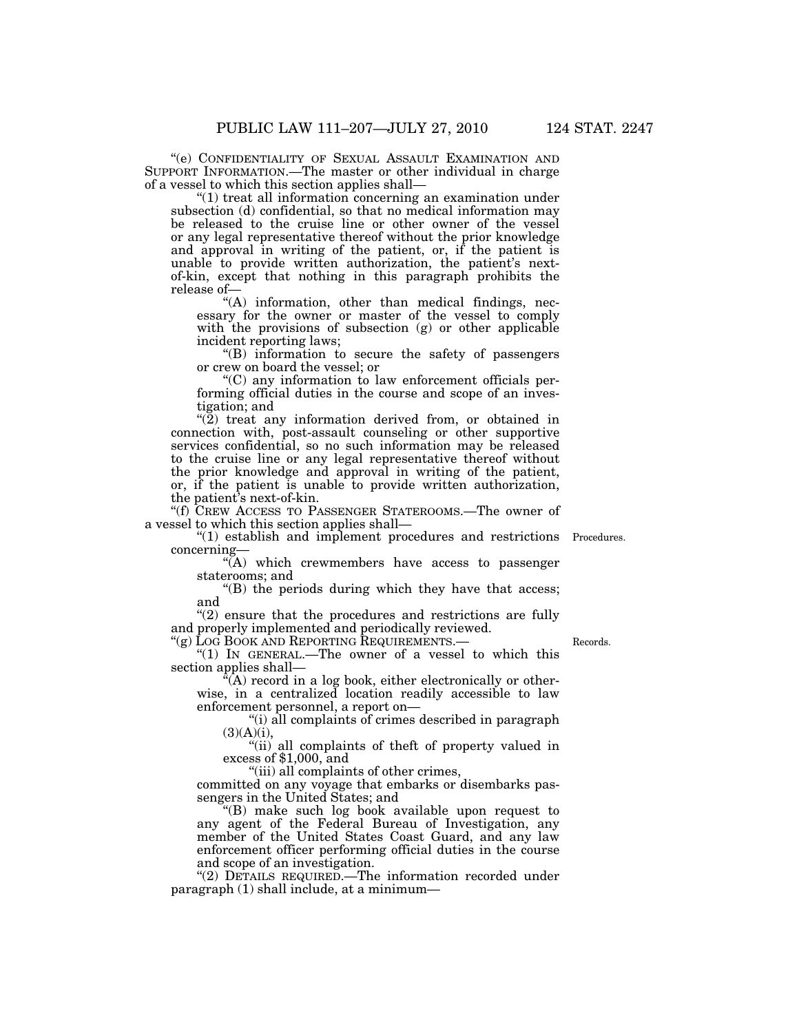''(e) CONFIDENTIALITY OF SEXUAL ASSAULT EXAMINATION AND SUPPORT INFORMATION.—The master or other individual in charge of a vessel to which this section applies shall—

''(1) treat all information concerning an examination under subsection (d) confidential, so that no medical information may be released to the cruise line or other owner of the vessel or any legal representative thereof without the prior knowledge and approval in writing of the patient, or, if the patient is unable to provide written authorization, the patient's nextof-kin, except that nothing in this paragraph prohibits the release of—

 $(A)$  information, other than medical findings, necessary for the owner or master of the vessel to comply with the provisions of subsection (g) or other applicable incident reporting laws;

''(B) information to secure the safety of passengers or crew on board the vessel; or

''(C) any information to law enforcement officials performing official duties in the course and scope of an investigation; and

"(2) treat any information derived from, or obtained in connection with, post-assault counseling or other supportive services confidential, so no such information may be released to the cruise line or any legal representative thereof without the prior knowledge and approval in writing of the patient, or, if the patient is unable to provide written authorization, the patient's next-of-kin.

''(f) CREW ACCESS TO PASSENGER STATEROOMS.—The owner of a vessel to which this section applies shall—

"(1) establish and implement procedures and restrictions Procedures. concerning—

"(A) which crewmembers have access to passenger staterooms; and

''(B) the periods during which they have that access; and

 $''(2)$  ensure that the procedures and restrictions are fully and properly implemented and periodically reviewed.

''(g) LOG BOOK AND REPORTING REQUIREMENTS.— " $(1)$  IN GENERAL.—The owner of a vessel to which this section applies shall—

 $\hat{f}(A)$  record in a log book, either electronically or otherwise, in a centralized location readily accessible to law enforcement personnel, a report on—

''(i) all complaints of crimes described in paragraph  $(3)(A)(i),$ 

''(ii) all complaints of theft of property valued in excess of \$1,000, and

''(iii) all complaints of other crimes,

committed on any voyage that embarks or disembarks passengers in the United States; and

''(B) make such log book available upon request to any agent of the Federal Bureau of Investigation, any member of the United States Coast Guard, and any law enforcement officer performing official duties in the course and scope of an investigation.

"(2) DETAILS REQUIRED.—The information recorded under paragraph (1) shall include, at a minimum—

Records.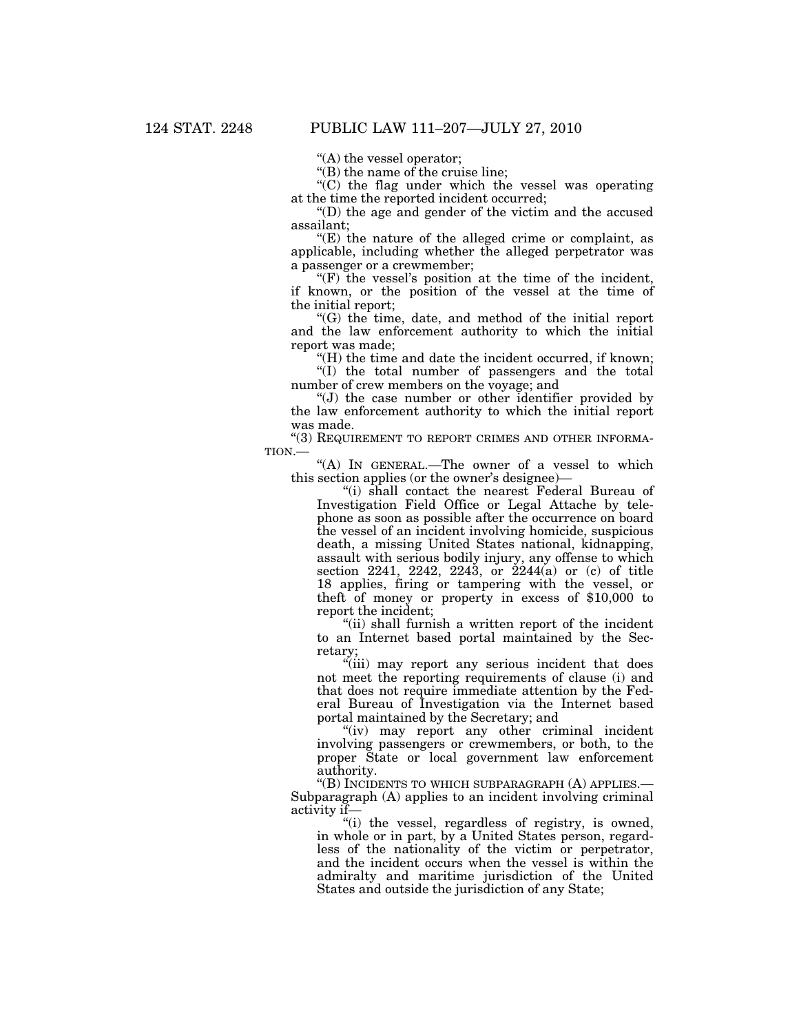''(A) the vessel operator;

''(B) the name of the cruise line;

 $(C)$  the flag under which the vessel was operating at the time the reported incident occurred;

''(D) the age and gender of the victim and the accused assailant;

 $E$ ) the nature of the alleged crime or complaint, as applicable, including whether the alleged perpetrator was a passenger or a crewmember;

" $(F)$  the vessel's position at the time of the incident, if known, or the position of the vessel at the time of the initial report;

''(G) the time, date, and method of the initial report and the law enforcement authority to which the initial report was made;

"(H) the time and date the incident occurred, if known; "(I) the total number of passengers and the total

number of crew members on the voyage; and

''(J) the case number or other identifier provided by the law enforcement authority to which the initial report was made.

''(3) REQUIREMENT TO REPORT CRIMES AND OTHER INFORMA-TION.—

"(A) IN GENERAL.-The owner of a vessel to which this section applies (or the owner's designee)—

''(i) shall contact the nearest Federal Bureau of Investigation Field Office or Legal Attache by telephone as soon as possible after the occurrence on board the vessel of an incident involving homicide, suspicious death, a missing United States national, kidnapping, assault with serious bodily injury, any offense to which section 2241, 2242, 2243, or 2244(a) or (c) of title 18 applies, firing or tampering with the vessel, or theft of money or property in excess of \$10,000 to report the incident;

"(ii) shall furnish a written report of the incident to an Internet based portal maintained by the Secretary;

''(iii) may report any serious incident that does not meet the reporting requirements of clause (i) and that does not require immediate attention by the Federal Bureau of Investigation via the Internet based portal maintained by the Secretary; and

"(iv) may report any other criminal incident involving passengers or crewmembers, or both, to the proper State or local government law enforcement authority.

''(B) INCIDENTS TO WHICH SUBPARAGRAPH (A) APPLIES.— Subparagraph (A) applies to an incident involving criminal activity if—

"(i) the vessel, regardless of registry, is owned, in whole or in part, by a United States person, regardless of the nationality of the victim or perpetrator, and the incident occurs when the vessel is within the admiralty and maritime jurisdiction of the United States and outside the jurisdiction of any State;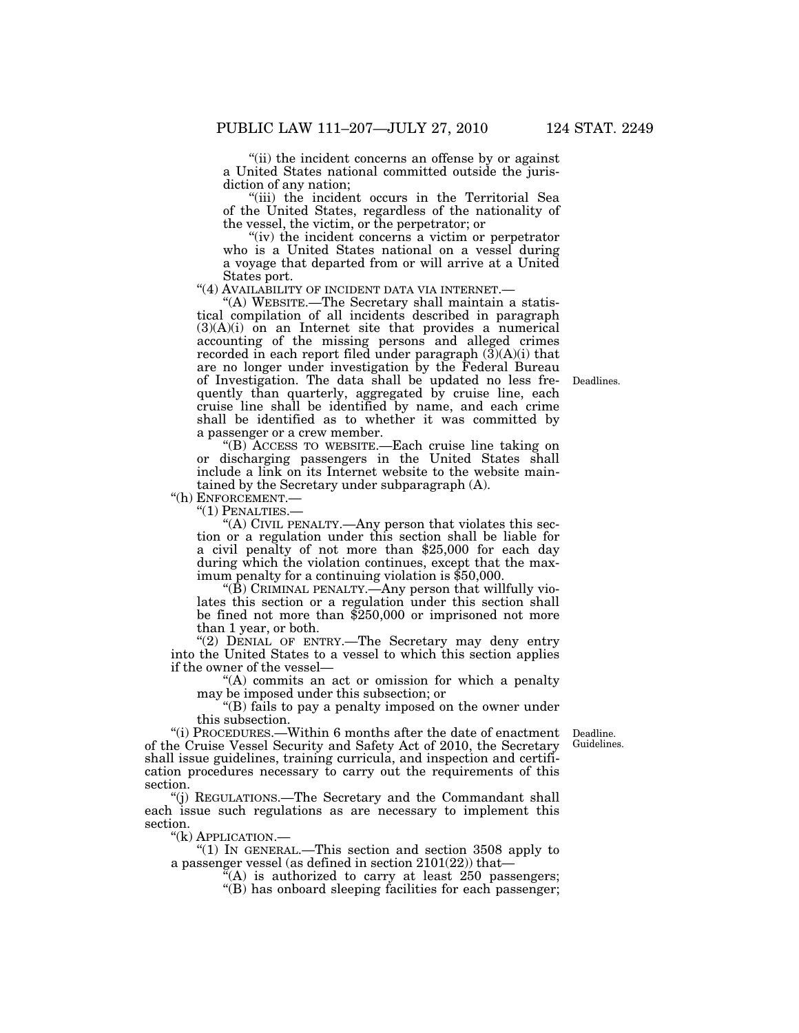''(ii) the incident concerns an offense by or against a United States national committed outside the jurisdiction of any nation;

''(iii) the incident occurs in the Territorial Sea of the United States, regardless of the nationality of the vessel, the victim, or the perpetrator; or

"(iv) the incident concerns a victim or perpetrator who is a United States national on a vessel during a voyage that departed from or will arrive at a United

States port.<br>"(4) AVAILABILITY OF INCIDENT DATA VIA INTERNET.—

"(A) WEBSITE.—The Secretary shall maintain a statistical compilation of all incidents described in paragraph (3)(A)(i) on an Internet site that provides a numerical accounting of the missing persons and alleged crimes recorded in each report filed under paragraph  $(3)(A)(i)$  that are no longer under investigation by the Federal Bureau of Investigation. The data shall be updated no less frequently than quarterly, aggregated by cruise line, each cruise line shall be identified by name, and each crime shall be identified as to whether it was committed by a passenger or a crew member.

''(B) ACCESS TO WEBSITE.—Each cruise line taking on or discharging passengers in the United States shall include a link on its Internet website to the website maintained by the Secretary under subparagraph (A).

''(h) ENFORCEMENT.—

''(1) PENALTIES.—

''(A) CIVIL PENALTY.—Any person that violates this section or a regulation under this section shall be liable for a civil penalty of not more than \$25,000 for each day during which the violation continues, except that the maximum penalty for a continuing violation is \$50,000.

" $(\hat{B})$  CRIMINAL PENALTY.—Any person that willfully violates this section or a regulation under this section shall be fined not more than \$250,000 or imprisoned not more than 1 year, or both.

"(2) DENIAL OF ENTRY.—The Secretary may deny entry into the United States to a vessel to which this section applies if the owner of the vessel—

"(A) commits an act or omission for which a penalty may be imposed under this subsection; or

''(B) fails to pay a penalty imposed on the owner under this subsection.

Guidelines.

"(i) PROCEDURES.—Within 6 months after the date of enactment Deadline. of the Cruise Vessel Security and Safety Act of 2010, the Secretary shall issue guidelines, training curricula, and inspection and certification procedures necessary to carry out the requirements of this section.

(i) REGULATIONS.—The Secretary and the Commandant shall each issue such regulations as are necessary to implement this section.

''(k) APPLICATION.—

"(1) IN GENERAL.—This section and section 3508 apply to a passenger vessel (as defined in section 2101(22)) that—

 $K(A)$  is authorized to carry at least 250 passengers;

 $\cdot$ (B) has onboard sleeping facilities for each passenger;

Deadlines.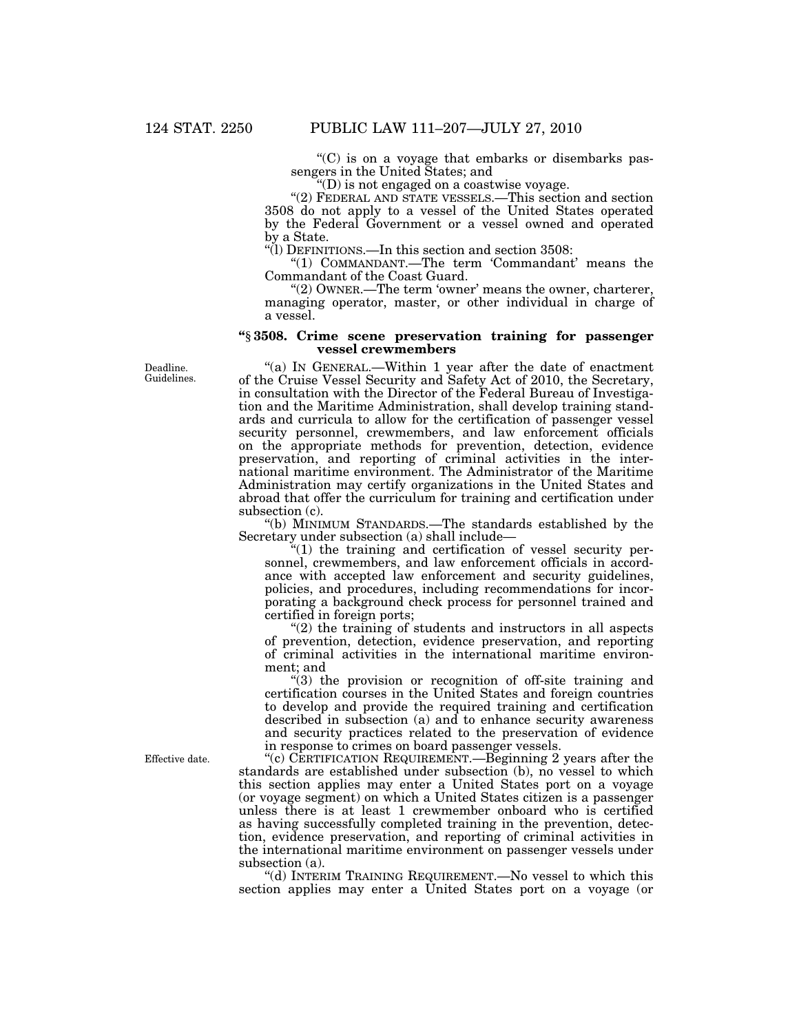''(C) is on a voyage that embarks or disembarks passengers in the United States; and

''(D) is not engaged on a coastwise voyage.

''(2) FEDERAL AND STATE VESSELS.—This section and section 3508 do not apply to a vessel of the United States operated by the Federal Government or a vessel owned and operated by a State.

''(l) DEFINITIONS.—In this section and section 3508:

"(1) COMMANDANT.—The term 'Commandant' means the Commandant of the Coast Guard.

"(2) OWNER.—The term 'owner' means the owner, charterer, managing operator, master, or other individual in charge of a vessel.

### **''**§ **3508. Crime scene preservation training for passenger vessel crewmembers**

Deadline. Guidelines.

''(a) IN GENERAL.—Within 1 year after the date of enactment of the Cruise Vessel Security and Safety Act of 2010, the Secretary, in consultation with the Director of the Federal Bureau of Investigation and the Maritime Administration, shall develop training standards and curricula to allow for the certification of passenger vessel security personnel, crewmembers, and law enforcement officials on the appropriate methods for prevention, detection, evidence preservation, and reporting of criminal activities in the international maritime environment. The Administrator of the Maritime Administration may certify organizations in the United States and abroad that offer the curriculum for training and certification under subsection (c).

''(b) MINIMUM STANDARDS.—The standards established by the Secretary under subsection (a) shall include—

''(1) the training and certification of vessel security personnel, crewmembers, and law enforcement officials in accordance with accepted law enforcement and security guidelines, policies, and procedures, including recommendations for incorporating a background check process for personnel trained and certified in foreign ports;

 $(2)$  the training of students and instructors in all aspects of prevention, detection, evidence preservation, and reporting of criminal activities in the international maritime environment; and

 $(3)$  the provision or recognition of off-site training and certification courses in the United States and foreign countries to develop and provide the required training and certification described in subsection (a) and to enhance security awareness and security practices related to the preservation of evidence in response to crimes on board passenger vessels.

''(c) CERTIFICATION REQUIREMENT.—Beginning 2 years after the standards are established under subsection (b), no vessel to which this section applies may enter a United States port on a voyage (or voyage segment) on which a United States citizen is a passenger unless there is at least 1 crewmember onboard who is certified as having successfully completed training in the prevention, detection, evidence preservation, and reporting of criminal activities in the international maritime environment on passenger vessels under subsection (a).

''(d) INTERIM TRAINING REQUIREMENT.—No vessel to which this section applies may enter a United States port on a voyage (or

Effective date.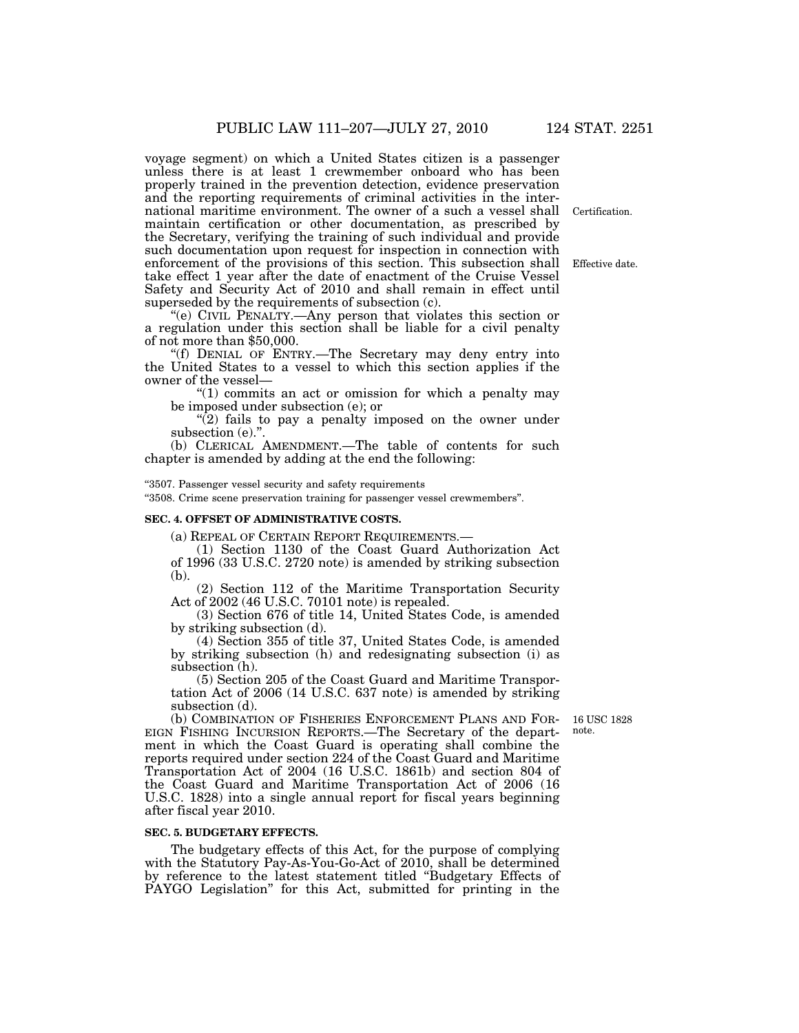voyage segment) on which a United States citizen is a passenger unless there is at least 1 crewmember onboard who has been properly trained in the prevention detection, evidence preservation and the reporting requirements of criminal activities in the international maritime environment. The owner of a such a vessel shall maintain certification or other documentation, as prescribed by the Secretary, verifying the training of such individual and provide such documentation upon request for inspection in connection with enforcement of the provisions of this section. This subsection shall take effect 1 year after the date of enactment of the Cruise Vessel Safety and Security Act of 2010 and shall remain in effect until superseded by the requirements of subsection (c).

''(e) CIVIL PENALTY.—Any person that violates this section or a regulation under this section shall be liable for a civil penalty of not more than \$50,000.

''(f) DENIAL OF ENTRY.—The Secretary may deny entry into the United States to a vessel to which this section applies if the owner of the vessel—

"(1) commits an act or omission for which a penalty may be imposed under subsection (e); or

"(2) fails to pay a penalty imposed on the owner under subsection (e)."

(b) CLERICAL AMENDMENT.—The table of contents for such chapter is amended by adding at the end the following:

#### ''3507. Passenger vessel security and safety requirements

''3508. Crime scene preservation training for passenger vessel crewmembers''.

### **SEC. 4. OFFSET OF ADMINISTRATIVE COSTS.**

(a) REPEAL OF CERTAIN REPORT REQUIREMENTS.— (1) Section 1130 of the Coast Guard Authorization Act of 1996 (33 U.S.C. 2720 note) is amended by striking subsection (b).

(2) Section 112 of the Maritime Transportation Security Act of 2002 (46 U.S.C. 70101 note) is repealed.

(3) Section 676 of title 14, United States Code, is amended by striking subsection (d).

(4) Section 355 of title 37, United States Code, is amended by striking subsection (h) and redesignating subsection (i) as subsection (h).

(5) Section 205 of the Coast Guard and Maritime Transportation Act of 2006 (14 U.S.C. 637 note) is amended by striking subsection (d).

16 USC 1828 note.

(b) COMBINATION OF FISHERIES ENFORCEMENT PLANS AND FOR-EIGN FISHING INCURSION REPORTS.—The Secretary of the department in which the Coast Guard is operating shall combine the reports required under section 224 of the Coast Guard and Maritime Transportation Act of 2004 (16 U.S.C. 1861b) and section 804 of the Coast Guard and Maritime Transportation Act of 2006 (16 U.S.C. 1828) into a single annual report for fiscal years beginning after fiscal year 2010.

### **SEC. 5. BUDGETARY EFFECTS.**

The budgetary effects of this Act, for the purpose of complying with the Statutory Pay-As-You-Go-Act of 2010, shall be determined by reference to the latest statement titled ''Budgetary Effects of PAYGO Legislation'' for this Act, submitted for printing in the

Effective date.

Certification.